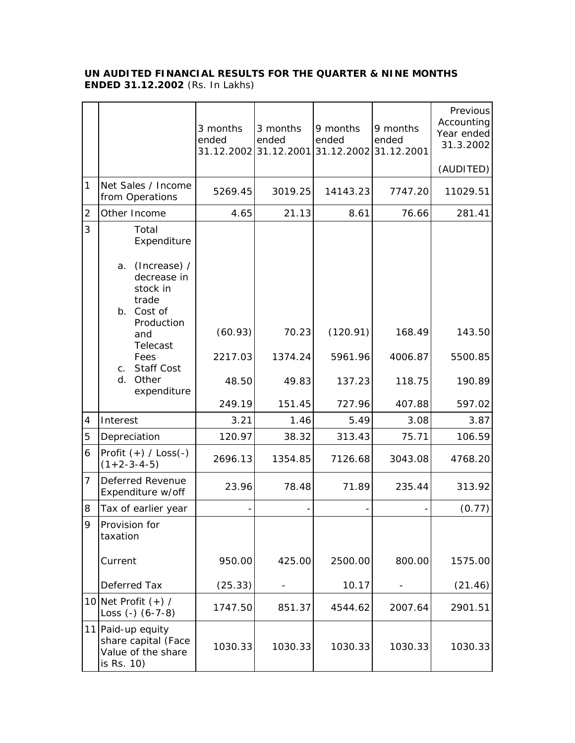## **UN AUDITED FINANCIAL RESULTS FOR THE QUARTER & NINE MONTHS ENDED 31.12.2002** (Rs. In Lakhs)

|                |                                                                                              | 3 months<br>ended | 3 months<br>ended | 9 months<br>ended<br>31.12.2002 31.12.2001 31.12.2002 31.12.2001 | 9 months<br>ended | Previous<br>Accounting<br>Year ended<br>31.3.2002 |
|----------------|----------------------------------------------------------------------------------------------|-------------------|-------------------|------------------------------------------------------------------|-------------------|---------------------------------------------------|
|                |                                                                                              |                   |                   |                                                                  |                   | (AUDITED)                                         |
| 1              | Net Sales / Income<br>from Operations                                                        | 5269.45           | 3019.25           | 14143.23                                                         | 7747.20           | 11029.51                                          |
| $\overline{2}$ | Other Income                                                                                 | 4.65              | 21.13             | 8.61                                                             | 76.66             | 281.41                                            |
| 3              | Total<br>Expenditure<br>(Increase) /<br>a.<br>decrease in<br>stock in<br>trade<br>b. Cost of |                   |                   |                                                                  |                   |                                                   |
|                | Production<br>and                                                                            | (60.93)           | 70.23             | (120.91)                                                         | 168.49            | 143.50                                            |
|                | Telecast<br>Fees<br><b>Staff Cost</b><br>$C_{\cdot}$                                         | 2217.03           | 1374.24           | 5961.96                                                          | 4006.87           | 5500.85                                           |
|                | Other<br>d.<br>expenditure                                                                   | 48.50             | 49.83             | 137.23                                                           | 118.75            | 190.89                                            |
|                |                                                                                              | 249.19            | 151.45            | 727.96                                                           | 407.88            | 597.02                                            |
| 4              | Interest                                                                                     | 3.21              | 1.46              | 5.49                                                             | 3.08              | 3.87                                              |
| 5              | Depreciation                                                                                 | 120.97            | 38.32             | 313.43                                                           | 75.71             | 106.59                                            |
| 6              | Profit $(+)$ / Loss(-)<br>$(1+2-3-4-5)$                                                      | 2696.13           | 1354.85           | 7126.68                                                          | 3043.08           | 4768.20                                           |
| 7              | Deferred Revenue<br>Expenditure w/off                                                        | 23.96             | 78.48             | 71.89                                                            | 235.44            | 313.92                                            |
| 8              | Tax of earlier year                                                                          |                   |                   |                                                                  |                   | (0.77)                                            |
| 9              | Provision for<br>taxation                                                                    |                   |                   |                                                                  |                   |                                                   |
|                | Current                                                                                      | 950.00            | 425.00            | 2500.00                                                          | 800.00            | 1575.00                                           |
|                | Deferred Tax                                                                                 | (25.33)           |                   | 10.17                                                            |                   | (21.46)                                           |
|                | 10 Net Profit $(+)$ /<br>Loss $(-)$ $(6-7-8)$                                                | 1747.50           | 851.37            | 4544.62                                                          | 2007.64           | 2901.51                                           |
|                | 11 Paid-up equity<br>share capital (Face<br>Value of the share<br>is Rs. 10)                 | 1030.33           | 1030.33           | 1030.33                                                          | 1030.33           | 1030.33                                           |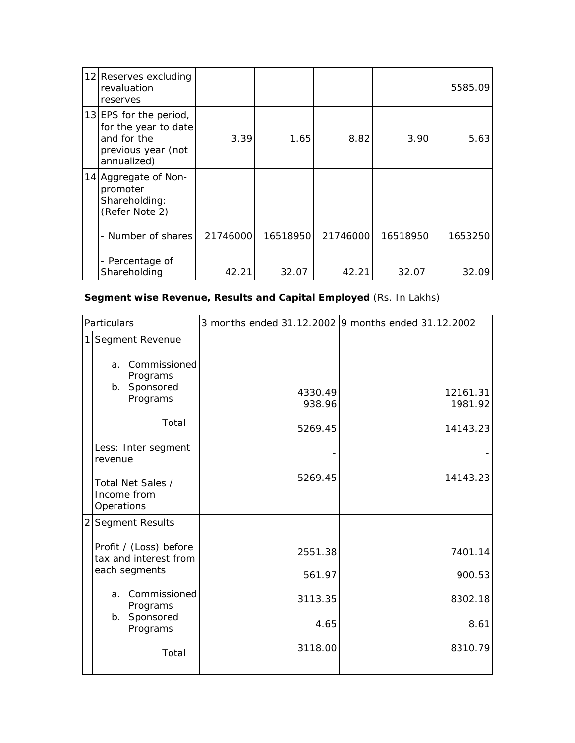| 12 Reserves excluding<br>revaluation<br>reserves                                                   |          |          |          |          | 5585.09 |
|----------------------------------------------------------------------------------------------------|----------|----------|----------|----------|---------|
| 13 EPS for the period,<br>for the year to date<br>and for the<br>previous year (not<br>annualized) | 3.39     | 1.65     | 8.82     | 3.90     | 5.63    |
| 14 Aggregate of Non-<br>promoter<br>Shareholding:<br>(Refer Note 2)                                |          |          |          |          |         |
| - Number of shares                                                                                 | 21746000 | 16518950 | 21746000 | 16518950 | 1653250 |
| - Percentage of<br>Shareholding                                                                    | 42.21    | 32.07    | 42.21    | 32.07    | 32.09   |

## **Segment wise Revenue, Results and Capital Employed** (Rs. In Lakhs)

| Particulars |                                                 |                   | 3 months ended 31.12.2002 9 months ended 31.12.2002 |  |
|-------------|-------------------------------------------------|-------------------|-----------------------------------------------------|--|
|             | 1 Segment Revenue<br>a. Commissioned            |                   |                                                     |  |
|             | Programs<br>b. Sponsored<br>Programs            | 4330.49<br>938.96 | 12161.31<br>1981.92                                 |  |
|             | Total                                           | 5269.45           | 14143.23                                            |  |
|             | Less: Inter segment<br>revenue                  |                   |                                                     |  |
|             | Total Net Sales /<br>Income from<br>Operations  | 5269.45           | 14143.23                                            |  |
|             | 2 Segment Results                               |                   |                                                     |  |
|             | Profit / (Loss) before<br>tax and interest from | 2551.38           | 7401.14                                             |  |
|             | each segments                                   | 561.97            | 900.53                                              |  |
|             | Commissioned<br>a.<br>Programs                  | 3113.35           | 8302.18                                             |  |
|             | b. Sponsored<br>Programs                        | 4.65              | 8.61                                                |  |
|             | Total                                           | 3118.00           | 8310.79                                             |  |